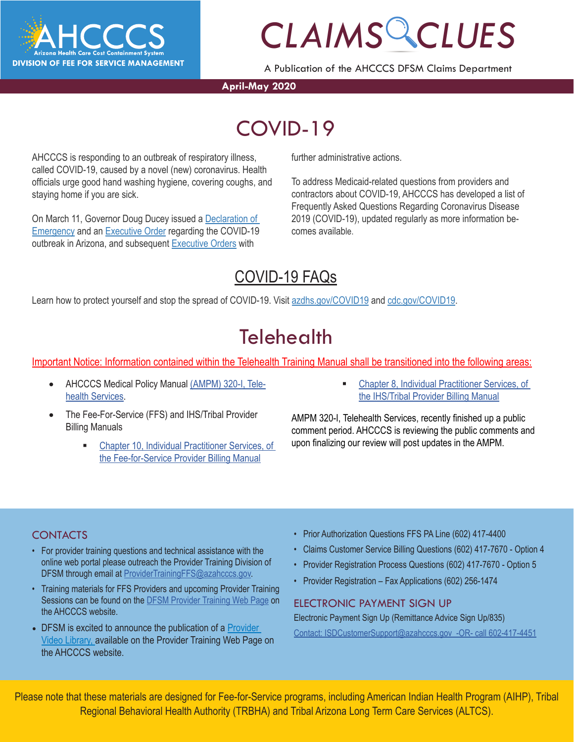

A Publication of the AHCCCS DFSM Claims Department

### **April-May 2020**

### *CLAIMS CLUES* COVID-19

AHCCCS is responding to an outbreak of respiratory illness, called COVID-19, caused by a novel (new) coronavirus. Health officials urge good hand washing hygiene, covering coughs, and staying home if you are sick.

On March 11, Governor Doug Ducey issued a [Declaration of](https://azgovernor.gov/sites/default/files/declaraton_0.pdf)  **[Emergency](https://azgovernor.gov/sites/default/files/declaraton_0.pdf) and an [Executive Order](https://azgovernor.gov/sites/default/files/eo_2020-07.pdf) regarding the COVID-19** outbreak in Arizona, and subsequent [Executive Orders](https://azgovernor.gov/executive-orders) with

further administrative actions.

To address Medicaid-related questions from providers and contractors about COVID-19, AHCCCS has developed a list of Frequently Asked Questions Regarding Coronavirus Disease 2019 (COVID-19), updated regularly as more information becomes available.

### [COVID-19 FAQs](https://azahcccs.gov/AHCCCS/AboutUs/covid19FAQ.html)

Learn how to protect yourself and stop the spread of COVID-19. Visit [azdhs.gov/COVID19](https://azdhs.gov/covid19) and [cdc.gov/COVID19.](https://www.cdc.gov/covid19)

### **Telehealth**

Important Notice: Information contained within the Telehealth Training Manual shall be transitioned into the following areas:

- AHCCCS Medical Policy Manual [\(AMPM\) 320-I, Tele](https://www.azahcccs.gov/shared/Downloads/MedicalPolicyManual/300/320-I.pdf)[health Services.](https://www.azahcccs.gov/shared/Downloads/MedicalPolicyManual/300/320-I.pdf)
- The Fee-For-Service (FFS) and IHS/Tribal Provider Billing Manuals
	- [Chapter 10, Individual Practitioner Services, of](https://www.azahcccs.gov/PlansProviders/Downloads/FFSProviderManual/FFS_Chap10.pdf) [the Fee-for-Service Provider Billing Manual](https://www.azahcccs.gov/PlansProviders/Downloads/FFSProviderManual/FFS_Chap10.pdf)

 [Chapter 8, Individual Practitioner Services, of](https://www.azahcccs.gov/PlansProviders/Downloads/IHS-TribalManual/IHS-Chap08IndivPractitionerSvcs.pdf) [the IHS/Tribal Provider Billing Manual](https://www.azahcccs.gov/PlansProviders/Downloads/IHS-TribalManual/IHS-Chap08IndivPractitionerSvcs.pdf)

AMPM 320-I, Telehealth Services, recently finished up a public comment period. AHCCCS is reviewing the public comments and upon finalizing our review will post updates in the AMPM.

### **CONTACTS**

- For provider training questions and technical assistance with the online web portal please outreach the Provider Training Division of DFSM through email at [ProviderTrainingFFS@azahcccs.gov.](mailto:ProviderTrainingFFS%40azahcccs.gov?subject=)
- Training materials for FFS Providers and upcoming Provider Training Sessions can be found on the [DFSM Provider Training Web Page](https://www.azahcccs.gov/Resources/Training/DFSM_Training.html) on the AHCCCS website.
- DFSM is excited to announce the publication of a [Provider](https://www.azahcccs.gov/Resources/Training/DFSM_Training.html) [Video Library, a](https://www.azahcccs.gov/Resources/Training/DFSM_Training.html)vailable on the Provider Training Web Page on the AHCCCS website.
- Prior Authorization Questions FFS PA Line (602) 417-4400
- Claims Customer Service Billing Questions (602) 417-7670 Option 4
- Provider Registration Process Questions (602) 417-7670 Option 5
- Provider Registration Fax Applications (602) 256-1474

### ELECTRONIC PAYMENT SIGN UP

Electronic Payment Sign Up (Remittance Advice Sign Up/835) Contact: ISDCustomerSupport@azahcccs.gov -OR- call 602-417-4451

Please note that these materials are designed for Fee-for-Service programs, including American Indian Health Program (AIHP), Tribal Regional Behavioral Health Authority (TRBHA) and Tribal Arizona Long Term Care Services (ALTCS).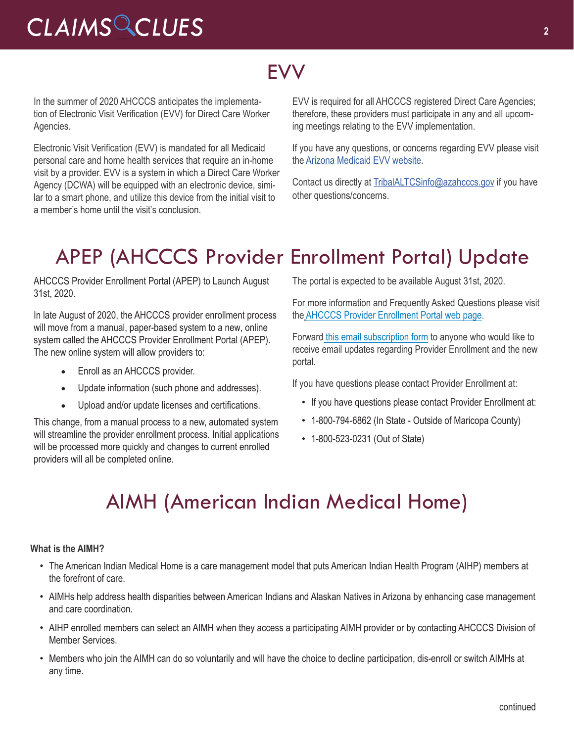### **FVV**

In the summer of 2020 AHCCCS anticipates the implementation of Electronic Visit Verification (EVV) for Direct Care Worker Agencies.

Electronic Visit Verification (EVV) is mandated for all Medicaid personal care and home health services that require an in-home visit by a provider. EVV is a system in which a Direct Care Worker Agency (DCWA) will be equipped with an electronic device, similar to a smart phone, and utilize this device from the initial visit to a member's home until the visit's conclusion.

EVV is required for all AHCCCS registered Direct Care Agencies; therefore, these providers must participate in any and all upcoming meetings relating to the EVV implementation.

If you have any questions, or concerns regarding EVV please visit the [Arizona Medicaid EVV website](https://www.azahcccs.gov/AHCCCS/Initiatives/EVV/
).

Contact us directly at [TribalALTCSinfo@azahcccs.gov](mailto:TribalALTCSinfo@azahcccs.gov) if you have other questions/concerns.

### APEP (AHCCCS Provider Enrollment Portal) Update

AHCCCS Provider Enrollment Portal (APEP) to Launch August 31st, 2020.

In late August of 2020, the AHCCCS provider enrollment process will move from a manual, paper-based system to a new, online system called the AHCCCS Provider Enrollment Portal (APEP). The new online system will allow providers to:

- Enroll as an AHCCCS provider.
- Update information (such phone and addresses).
- Upload and/or update licenses and certifications.

This change, from a manual process to a new, automated system will streamline the provider enrollment process. Initial applications will be processed more quickly and changes to current enrolled providers will all be completed online.

The portal is expected to be available August 31st, 2020.

For more information and Frequently Asked Questions please visit the [AHCCCS Provider Enrollment Portal web page](https://www.azahcccs.gov/PlansProviders/NewProviders/APEP.html).

Forward [this email subscription form](https://visitor.r20.constantcontact.com/manage/optin?v=001gF-kjPbNwUnRFFFq915Hq0WaTObiteBdiPD_exzc-3iA39q3tDlq4vxb4ZqhZVAL3tqPSPiIoSBS4mUOeQFk7lGeXc_xo2F3UJRa8hvzs0wN-y6AVu_XoCBZf_9AZNbdgjy41DHAIXBLBqjMd5rPsCukG5_uVcEvK8IQSVCBC1Ta6fhiWKDdhFcvMY5-PE-TPDmvIw2ULqYVFfk1RGPmKN6WrANGFSnw) to anyone who would like to receive email updates regarding Provider Enrollment and the new portal.

If you have questions please contact Provider Enrollment at:

- If you have questions please contact Provider Enrollment at:
- 1-800-794-6862 (In State Outside of Maricopa County)
- 1-800-523-0231 (Out of State)

### AIMH (American Indian Medical Home)

#### **What is the AIMH?**

- The American Indian Medical Home is a care management model that puts American Indian Health Program (AIHP) members at the forefront of care.
- AIMHs help address health disparities between American Indians and Alaskan Natives in Arizona by enhancing case management and care coordination.
- AIHP enrolled members can select an AIMH when they access a participating AIMH provider or by contacting AHCCCS Division of Member Services.
- Members who join the AIMH can do so voluntarily and will have the choice to decline participation, dis-enroll or switch AIMHs at any time.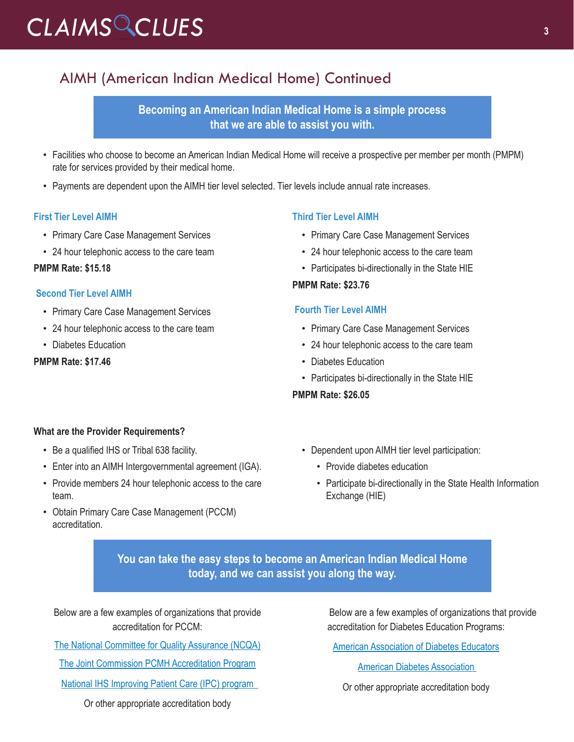### AIMH (American Indian Medical Home) Continued

**Becoming an American Indian Medical Home is a simple process that we are able to assist you with.**

- Facilities who choose to become an American Indian Medical Home will receive a prospective per member per month (PMPM) rate for services provided by their medical home.
- Payments are dependent upon the AIMH tier level selected. Tier levels include annual rate increases.

#### **First Tier Level AIMH**

- Primary Care Case Management Services
- 24 hour telephonic access to the care team

### **PMPM Rate: \$15.18**

### **Second Tier Level AIMH**

- Primary Care Case Management Services
- 24 hour telephonic access to the care team
- Diabetes Education

### **PMPM Rate: \$17.46**

### **Third Tier Level AIMH**

- Primary Care Case Management Services
- 24 hour telephonic access to the care team
- Participates bi-directionally in the State HIE

#### **PMPM Rate: \$23.76**

#### **Fourth Tier Level AIMH**

- Primary Care Case Management Services
- 24 hour telephonic access to the care team
- Diabetes Education
- Participates bi-directionally in the State HIE

#### **PMPM Rate: \$26.05**

### **What are the Provider Requirements?**

- Be a qualified IHS or Tribal 638 facility.
- Enter into an AIMH Intergovernmental agreement (IGA).
- Provide members 24 hour telephonic access to the care team.
- Obtain Primary Care Case Management (PCCM) accreditation.
- Dependent upon AIMH tier level participation:
	- Provide diabetes education
	- Participate bi-directionally in the State Health Information Exchange (HIE)

**You can take the easy steps to become an American Indian Medical Home today, and we can assist you along the way.**

Below are a few examples of organizations that provide accreditation for PCCM:

[The National Committee for Quality Assurance \(NCQA\)](http://r20.rs6.net/tn.jsp?f=001c4u841r3hNNLxU4t3RrHfSpYmEBh5Y_A1vA1MPN1Jg51yWiV9z0nLU2IelXQ2Y9P869eOPKUNzu7qm0_8LVeWH2_4M1dKIHICbgtP2YWZ-q2cCad3_NLyFXiUxzgICq7CdeVq-SpYSQ5_NrSjp-Msj167klfoptS3ZNSz1bzPM1HRtUMurJ41qq2TAZ3ndTjkIs8LGvsbqpdWc9vRUoYHsaYb0UQYkXdSZcZDbcFdQk=&c=1CLFW9e6VPcm6vzz7X_xMBLlA34UcrfVDcyCf0ePscPEhCMfpatbZA==&ch=pCIDX059aAeigkkBEGg8DAO5QLHkINMcOxRPgGIEOLzG4kDttBLszA==)

[The Joint Commission PCMH Accreditation Program](http://r20.rs6.net/tn.jsp?f=001c4u841r3hNNLxU4t3RrHfSpYmEBh5Y_A1vA1MPN1Jg51yWiV9z0nLU2IelXQ2Y9PqjqkH3RNCs2s2AkW63nZRn9ivQKV3msFn9lrixYCBNd1HkHxt2ueTjUxDezvbbSq39DxaKYQI967pBpejXlNJ4yFauBIN1pKnj3czmWzbLWwPFxrGG67nnHukQYrG2BB&c=1CLFW9e6VPcm6vzz7X_xMBLlA34UcrfVDcyCf0ePscPEhCMfpatbZA==&ch=pCIDX059aAeigkkBEGg8DAO5QLHkINMcOxRPgGIEOLzG4kDttBLszA==)

[National IHS Improving Patient Care \(IPC\) program](http://National IHS Improving Patient Care (IPC) program   ) 

Or other appropriate accreditation body

Below are a few examples of organizations that provide accreditation for Diabetes Education Programs:

[American Association of Diabetes Educators](http://r20.rs6.net/tn.jsp?f=001c4u841r3hNNLxU4t3RrHfSpYmEBh5Y_A1vA1MPN1Jg51yWiV9z0nLU2IelXQ2Y9PS2huBXRTUz5OPgw6VQwnR8orAz2yZAQqcCNt6lRwtiVo9e4LRR23N5ursLnvhvJ9vB6sqS6n4I5X41UJ6RP4FD3haOmzV_xJp2fMefo4UKo=&c=1CLFW9e6VPcm6vzz7X_xMBLlA34UcrfVDcyCf0ePscPEhCMfpatbZA==&ch=pCIDX059aAeigkkBEGg8DAO5QLHkINMcOxRPgGIEOLzG4kDttBLszA==)

[American Diabetes Association](http://American Diabetes Association  ) 

Or other appropriate accreditation body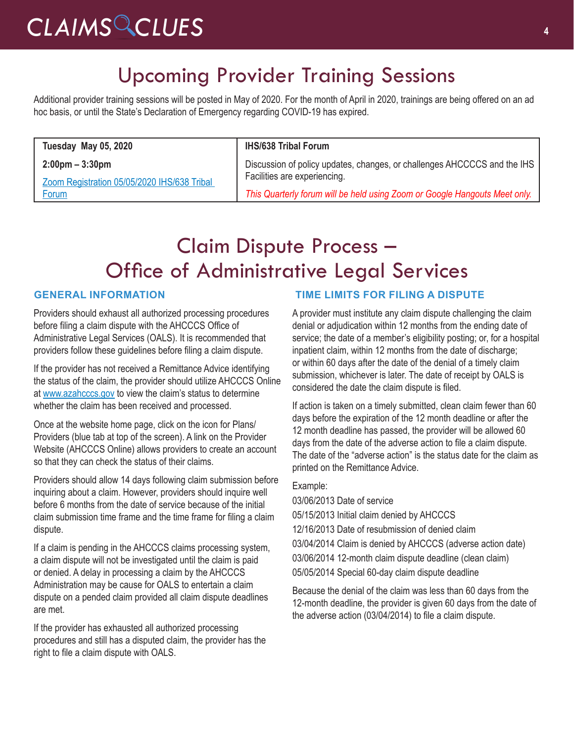### Upcoming Provider Training Sessions

Additional provider training sessions will be posted in May of 2020. For the month of April in 2020, trainings are being offered on an ad hoc basis, or until the State's Declaration of Emergency regarding COVID-19 has expired.

| Discussion of policy updates, changes, or challenges AHCCCCS and the IHS   |
|----------------------------------------------------------------------------|
| This Quarterly forum will be held using Zoom or Google Hangouts Meet only. |
|                                                                            |

### Claim Dispute Process – Office of Administrative Legal Services

### **GENERAL INFORMATION**

Providers should exhaust all authorized processing procedures before filing a claim dispute with the AHCCCS Office of Administrative Legal Services (OALS). It is recommended that providers follow these guidelines before filing a claim dispute.

If the provider has not received a Remittance Advice identifying the status of the claim, the provider should utilize AHCCCS Online at [www.azahcccs.gov](http://www.azahcccs.gov) to view the claim's status to determine whether the claim has been received and processed.

Once at the website home page, click on the icon for Plans/ Providers (blue tab at top of the screen). A link on the Provider Website (AHCCCS Online) allows providers to create an account so that they can check the status of their claims.

Providers should allow 14 days following claim submission before inquiring about a claim. However, providers should inquire well before 6 months from the date of service because of the initial claim submission time frame and the time frame for filing a claim dispute.

If a claim is pending in the AHCCCS claims processing system, a claim dispute will not be investigated until the claim is paid or denied. A delay in processing a claim by the AHCCCS Administration may be cause for OALS to entertain a claim dispute on a pended claim provided all claim dispute deadlines are met.

If the provider has exhausted all authorized processing procedures and still has a disputed claim, the provider has the right to file a claim dispute with OALS.

### **TIME LIMITS FOR FILING A DISPUTE**

A provider must institute any claim dispute challenging the claim denial or adjudication within 12 months from the ending date of service; the date of a member's eligibility posting; or, for a hospital inpatient claim, within 12 months from the date of discharge; or within 60 days after the date of the denial of a timely claim submission, whichever is later. The date of receipt by OALS is considered the date the claim dispute is filed.

If action is taken on a timely submitted, clean claim fewer than 60 days before the expiration of the 12 month deadline or after the 12 month deadline has passed, the provider will be allowed 60 days from the date of the adverse action to file a claim dispute. The date of the "adverse action" is the status date for the claim as printed on the Remittance Advice.

#### Example:

03/06/2013 Date of service 05/15/2013 Initial claim denied by AHCCCS 12/16/2013 Date of resubmission of denied claim 03/04/2014 Claim is denied by AHCCCS (adverse action date) 03/06/2014 12-month claim dispute deadline (clean claim) 05/05/2014 Special 60-day claim dispute deadline

Because the denial of the claim was less than 60 days from the 12-month deadline, the provider is given 60 days from the date of the adverse action (03/04/2014) to file a claim dispute.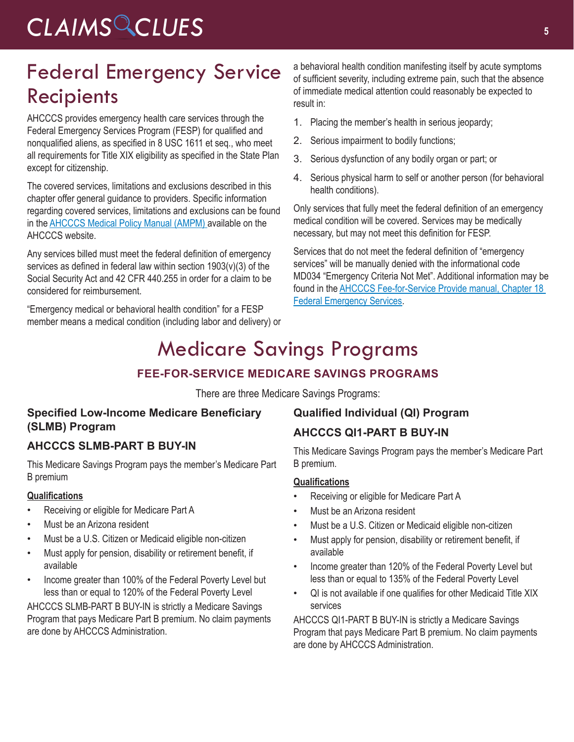### Federal Emergency Service Recipients

AHCCCS provides emergency health care services through the Federal Emergency Services Program (FESP) for qualified and nonqualified aliens, as specified in 8 USC 1611 et seq., who meet all requirements for Title XIX eligibility as specified in the State Plan except for citizenship.

The covered services, limitations and exclusions described in this chapter offer general guidance to providers. Specific information regarding covered services, limitations and exclusions can be found in the [AHCCCS Medical Policy Manual \(AMPM\)](https://www.azahcccs.gov/shared/MedicalPolicyManual/
) available on the AHCCCS website.

Any services billed must meet the federal definition of emergency services as defined in federal law within section 1903(v)(3) of the Social Security Act and 42 CFR 440.255 in order for a claim to be considered for reimbursement.

"Emergency medical or behavioral health condition" for a FESP member means a medical condition (including labor and delivery) or a behavioral health condition manifesting itself by acute symptoms of sufficient severity, including extreme pain, such that the absence of immediate medical attention could reasonably be expected to result in:

- 1. Placing the member's health in serious jeopardy;
- 2. Serious impairment to bodily functions;
- 3. Serious dysfunction of any bodily organ or part; or
- 4. Serious physical harm to self or another person (for behavioral health conditions).

Only services that fully meet the federal definition of an emergency medical condition will be covered. Services may be medically necessary, but may not meet this definition for FESP.

Services that do not meet the federal definition of "emergency services" will be manually denied with the informational code MD034 "Emergency Criteria Not Met". Additional information may be found in the [AHCCCS Fee-for-Service Provide manual, Chapter 18](https://www.azahcccs.gov/PlansProviders/Downloads/FFSProviderManual/FFS_Chap18EmergencyServicesProgram.pdf)  [Federal Emergency Services](https://www.azahcccs.gov/PlansProviders/Downloads/FFSProviderManual/FFS_Chap18EmergencyServicesProgram.pdf).

### Medicare Savings Programs

### **FEE-FOR-SERVICE MEDICARE SAVINGS PROGRAMS**

There are three Medicare Savings Programs:

### **Specified Low-Income Medicare Beneficiary (SLMB) Program**

### **AHCCCS SLMB-PART B BUY-IN**

This Medicare Savings Program pays the member's Medicare Part B premium

### **Qualifications**

- Receiving or eligible for Medicare Part A
- Must be an Arizona resident
- Must be a U.S. Citizen or Medicaid eligible non-citizen
- Must apply for pension, disability or retirement benefit, if available
- Income greater than 100% of the Federal Poverty Level but less than or equal to 120% of the Federal Poverty Level

AHCCCS SLMB-PART B BUY-IN is strictly a Medicare Savings Program that pays Medicare Part B premium. No claim payments are done by AHCCCS Administration.

### **Qualified Individual (QI) Program**

### **AHCCCS QI1-PART B BUY-IN**

This Medicare Savings Program pays the member's Medicare Part B premium.

### **Qualifications**

- Receiving or eligible for Medicare Part A
- Must be an Arizona resident
- Must be a U.S. Citizen or Medicaid eligible non-citizen
- Must apply for pension, disability or retirement benefit, if available
- Income greater than 120% of the Federal Poverty Level but less than or equal to 135% of the Federal Poverty Level
- QI is not available if one qualifies for other Medicaid Title XIX services

AHCCCS QI1-PART B BUY-IN is strictly a Medicare Savings Program that pays Medicare Part B premium. No claim payments are done by AHCCCS Administration.